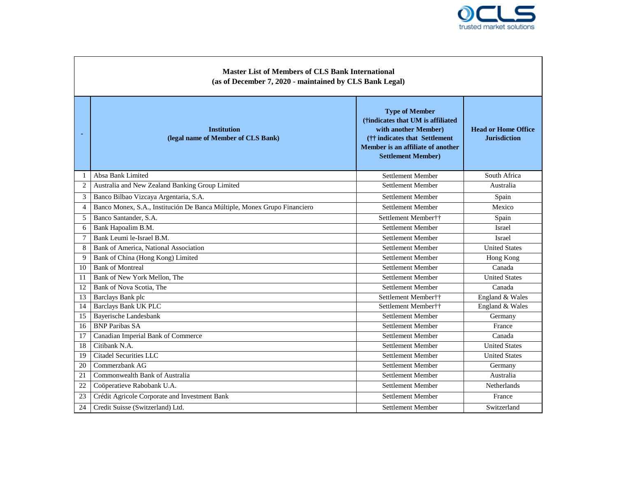

| <b>Master List of Members of CLS Bank International</b><br>(as of December 7, 2020 - maintained by CLS Bank Legal) |                                                                          |                                                                                                                                                                                        |                                                   |  |  |  |
|--------------------------------------------------------------------------------------------------------------------|--------------------------------------------------------------------------|----------------------------------------------------------------------------------------------------------------------------------------------------------------------------------------|---------------------------------------------------|--|--|--|
|                                                                                                                    | <b>Institution</b><br>(legal name of Member of CLS Bank)                 | <b>Type of Member</b><br>(†indicates that UM is affiliated<br>with another Member)<br>(†† indicates that Settlement)<br>Member is an affiliate of another<br><b>Settlement Member)</b> | <b>Head or Home Office</b><br><b>Jurisdiction</b> |  |  |  |
| $\mathbf{1}$                                                                                                       | Absa Bank Limited                                                        | Settlement Member                                                                                                                                                                      | South Africa                                      |  |  |  |
| $\overline{c}$                                                                                                     | Australia and New Zealand Banking Group Limited                          | Settlement Member                                                                                                                                                                      | Australia                                         |  |  |  |
| 3                                                                                                                  | Banco Bilbao Vizcaya Argentaria, S.A.                                    | Settlement Member                                                                                                                                                                      | Spain                                             |  |  |  |
| $\overline{4}$                                                                                                     | Banco Monex, S.A., Institución De Banca Múltiple, Monex Grupo Financiero | Settlement Member                                                                                                                                                                      | Mexico                                            |  |  |  |
| 5                                                                                                                  | Banco Santander, S.A.                                                    | Settlement Member††                                                                                                                                                                    | Spain                                             |  |  |  |
| 6                                                                                                                  | Bank Hapoalim B.M.                                                       | Settlement Member                                                                                                                                                                      | Israel                                            |  |  |  |
| 7                                                                                                                  | Bank Leumi le-Israel B.M.                                                | Settlement Member                                                                                                                                                                      | Israel                                            |  |  |  |
| $\,8$                                                                                                              | Bank of America, National Association                                    | Settlement Member                                                                                                                                                                      | <b>United States</b>                              |  |  |  |
| 9                                                                                                                  | Bank of China (Hong Kong) Limited                                        | Settlement Member                                                                                                                                                                      | Hong Kong                                         |  |  |  |
| 10                                                                                                                 | <b>Bank of Montreal</b>                                                  | Settlement Member                                                                                                                                                                      | Canada                                            |  |  |  |
| 11                                                                                                                 | Bank of New York Mellon. The                                             | Settlement Member                                                                                                                                                                      | <b>United States</b>                              |  |  |  |
| 12                                                                                                                 | Bank of Nova Scotia, The                                                 | Settlement Member                                                                                                                                                                      | Canada                                            |  |  |  |
| 13                                                                                                                 | Barclays Bank plc                                                        | Settlement Member††                                                                                                                                                                    | England & Wales                                   |  |  |  |
| 14                                                                                                                 | Barclays Bank UK PLC                                                     | Settlement Member††                                                                                                                                                                    | England & Wales                                   |  |  |  |
| 15                                                                                                                 | <b>Bayerische Landesbank</b>                                             | Settlement Member                                                                                                                                                                      | Germany                                           |  |  |  |
| 16                                                                                                                 | <b>BNP Paribas SA</b>                                                    | Settlement Member                                                                                                                                                                      | France                                            |  |  |  |
| 17                                                                                                                 | Canadian Imperial Bank of Commerce                                       | Settlement Member                                                                                                                                                                      | Canada                                            |  |  |  |
| 18                                                                                                                 | Citibank N.A.                                                            | Settlement Member                                                                                                                                                                      | <b>United States</b>                              |  |  |  |
| 19                                                                                                                 | Citadel Securities LLC                                                   | Settlement Member                                                                                                                                                                      | <b>United States</b>                              |  |  |  |
| 20                                                                                                                 | Commerzbank AG                                                           | Settlement Member                                                                                                                                                                      | Germany                                           |  |  |  |
| 21                                                                                                                 | Commonwealth Bank of Australia                                           | Settlement Member                                                                                                                                                                      | Australia                                         |  |  |  |
| 22                                                                                                                 | Coöperatieve Rabobank U.A.                                               | Settlement Member                                                                                                                                                                      | <b>Netherlands</b>                                |  |  |  |
| 23                                                                                                                 | Crédit Agricole Corporate and Investment Bank                            | Settlement Member                                                                                                                                                                      | France                                            |  |  |  |
| 24                                                                                                                 | Credit Suisse (Switzerland) Ltd.                                         | Settlement Member                                                                                                                                                                      | Switzerland                                       |  |  |  |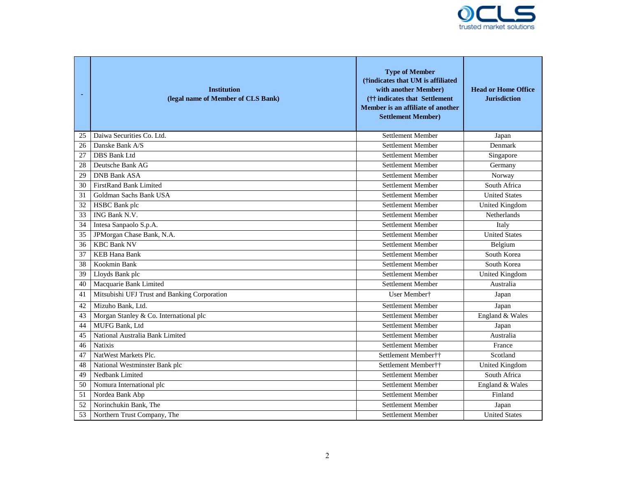

| $\blacksquare$ | <b>Institution</b><br>(legal name of Member of CLS Bank) | <b>Type of Member</b><br>(†indicates that UM is affiliated<br>with another Member)<br>(†† indicates that Settlement)<br>Member is an affiliate of another<br><b>Settlement Member)</b> | <b>Head or Home Office</b><br><b>Jurisdiction</b> |
|----------------|----------------------------------------------------------|----------------------------------------------------------------------------------------------------------------------------------------------------------------------------------------|---------------------------------------------------|
| 25             | Daiwa Securities Co. Ltd.                                | <b>Settlement Member</b>                                                                                                                                                               | Japan                                             |
| 26             | Danske Bank A/S                                          | Settlement Member                                                                                                                                                                      | Denmark                                           |
| 27             | <b>DBS</b> Bank Ltd                                      | Settlement Member                                                                                                                                                                      | Singapore                                         |
| 28             | Deutsche Bank AG                                         | <b>Settlement Member</b>                                                                                                                                                               | Germany                                           |
| 29             | <b>DNB Bank ASA</b>                                      | Settlement Member                                                                                                                                                                      | Norway                                            |
| 30             | FirstRand Bank Limited                                   | <b>Settlement Member</b>                                                                                                                                                               | South Africa                                      |
| 31             | Goldman Sachs Bank USA                                   | Settlement Member                                                                                                                                                                      | <b>United States</b>                              |
| 32             | HSBC Bank plc                                            | Settlement Member                                                                                                                                                                      | United Kingdom                                    |
| 33             | ING Bank N.V.                                            | Settlement Member                                                                                                                                                                      | Netherlands                                       |
| 34             | Intesa Sanpaolo S.p.A.                                   | Settlement Member                                                                                                                                                                      | Italy                                             |
| 35             | JPMorgan Chase Bank, N.A.                                | Settlement Member                                                                                                                                                                      | <b>United States</b>                              |
| 36             | <b>KBC Bank NV</b>                                       | <b>Settlement Member</b>                                                                                                                                                               | Belgium                                           |
| 37             | <b>KEB Hana Bank</b>                                     | <b>Settlement Member</b>                                                                                                                                                               | South Korea                                       |
| 38             | Kookmin Bank                                             | Settlement Member                                                                                                                                                                      | South Korea                                       |
| 39             | Lloyds Bank plc                                          | Settlement Member                                                                                                                                                                      | <b>United Kingdom</b>                             |
| 40             | Macquarie Bank Limited                                   | Settlement Member                                                                                                                                                                      | Australia                                         |
| 41             | Mitsubishi UFJ Trust and Banking Corporation             | User Member†                                                                                                                                                                           | Japan                                             |
| 42             | Mizuho Bank, Ltd.                                        | <b>Settlement Member</b>                                                                                                                                                               | Japan                                             |
| 43             | Morgan Stanley & Co. International plc                   | Settlement Member                                                                                                                                                                      | England & Wales                                   |
| 44             | MUFG Bank, Ltd                                           | Settlement Member                                                                                                                                                                      | Japan                                             |
| 45             | National Australia Bank Limited                          | <b>Settlement Member</b>                                                                                                                                                               | Australia                                         |
| 46             | <b>Natixis</b>                                           | Settlement Member                                                                                                                                                                      | France                                            |
| 47             | NatWest Markets Plc.                                     | Settlement Member††                                                                                                                                                                    | Scotland                                          |
| 48             | National Westminster Bank plc                            | Settlement Member††                                                                                                                                                                    | <b>United Kingdom</b>                             |
| 49             | Nedbank Limited                                          | Settlement Member                                                                                                                                                                      | South Africa                                      |
| 50             | Nomura International plc                                 | Settlement Member                                                                                                                                                                      | England & Wales                                   |
| 51             | Nordea Bank Abp                                          | <b>Settlement Member</b>                                                                                                                                                               | Finland                                           |
| 52             | Norinchukin Bank, The                                    | <b>Settlement Member</b>                                                                                                                                                               | Japan                                             |
| 53             | Northern Trust Company, The                              | <b>Settlement Member</b>                                                                                                                                                               | <b>United States</b>                              |